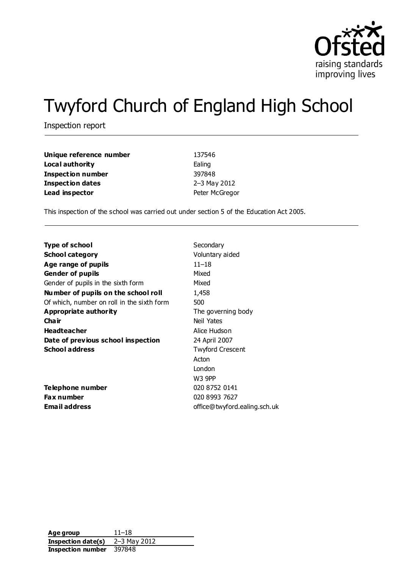

# Twyford Church of England High School

Inspection report

| Unique reference number  | 137546         |
|--------------------------|----------------|
| Local authority          | Ealing         |
| <b>Inspection number</b> | 397848         |
| <b>Inspection dates</b>  | 2-3 May 2012   |
| Lead inspector           | Peter McGregor |

This inspection of the school was carried out under section 5 of the Education Act 2005.

| Type of school                             | Secondary                    |
|--------------------------------------------|------------------------------|
| <b>School category</b>                     | Voluntary aided              |
| Age range of pupils                        | $11 - 18$                    |
| <b>Gender of pupils</b>                    | Mixed                        |
| Gender of pupils in the sixth form         | Mixed                        |
| Number of pupils on the school roll        | 1,458                        |
| Of which, number on roll in the sixth form | 500                          |
| Appropriate authority                      | The governing body           |
| Cha ir                                     | Neil Yates                   |
| <b>Headteacher</b>                         | Alice Hudson                 |
| Date of previous school inspection         | 24 April 2007                |
| <b>School address</b>                      | <b>Twyford Crescent</b>      |
|                                            | Acton                        |
|                                            | London                       |
|                                            | W3 9PP                       |
| Telephone number                           | 020 8752 0141                |
| <b>Fax number</b>                          | 020 8993 7627                |
| <b>Email address</b>                       | office@twyford.ealing.sch.uk |

| Age group          | $11 - 18$    |
|--------------------|--------------|
| Inspection date(s) | 2-3 May 2012 |
| Inspection number  | 397848       |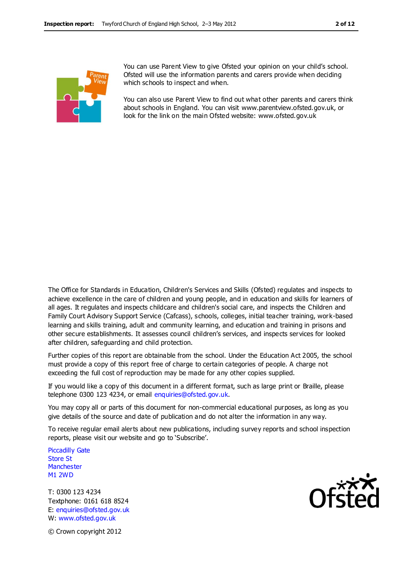

You can use Parent View to give Ofsted your opinion on your child's school. Ofsted will use the information parents and carers provide when deciding which schools to inspect and when.

You can also use Parent View to find out what other parents and carers think about schools in England. You can visit www.parentview.ofsted.gov.uk, or look for the link on the main Ofsted website: www.ofsted.gov.uk

The Office for Standards in Education, Children's Services and Skills (Ofsted) regulates and inspects to achieve excellence in the care of children and young people, and in education and skills for learners of all ages. It regulates and inspects childcare and children's social care, and inspects the Children and Family Court Advisory Support Service (Cafcass), schools, colleges, initial teacher training, work-based learning and skills training, adult and community learning, and education and training in prisons and other secure establishments. It assesses council children's services, and inspects services for looked after children, safeguarding and child protection.

Further copies of this report are obtainable from the school. Under the Education Act 2005, the school must provide a copy of this report free of charge to certain categories of people. A charge not exceeding the full cost of reproduction may be made for any other copies supplied.

If you would like a copy of this document in a different format, such as large print or Braille, please telephone 0300 123 4234, or email enquiries@ofsted.gov.uk.

You may copy all or parts of this document for non-commercial educational purposes, as long as you give details of the source and date of publication and do not alter the information in any way.

To receive regular email alerts about new publications, including survey reports and school inspection reports, please visit our website and go to 'Subscribe'.

Piccadilly Gate Store St **Manchester** M1 2WD

T: 0300 123 4234 Textphone: 0161 618 8524 E: enquiries@ofsted.gov.uk W: www.ofsted.gov.uk



© Crown copyright 2012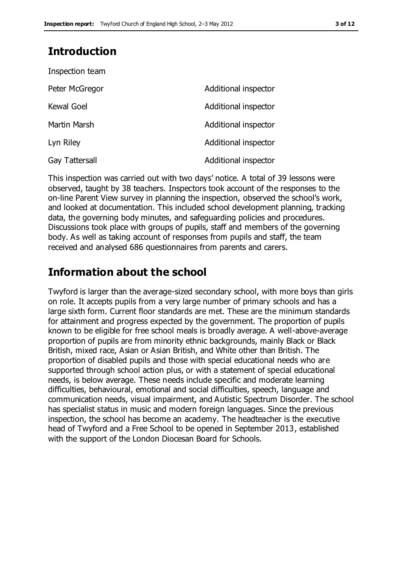# **Introduction**

| Inspection team   |                      |
|-------------------|----------------------|
| Peter McGregor    | Additional inspector |
| <b>Kewal Goel</b> | Additional inspector |
| Martin Marsh      | Additional inspector |
| Lyn Riley         | Additional inspector |
| Gay Tattersall    | Additional inspector |

This inspection was carried out with two days' notice. A total of 39 lessons were observed, taught by 38 teachers. Inspectors took account of the responses to the on-line Parent View survey in planning the inspection, observed the school's work, and looked at documentation. This included school development planning, tracking data, the governing body minutes, and safeguarding policies and procedures. Discussions took place with groups of pupils, staff and members of the governing body. As well as taking account of responses from pupils and staff, the team received and analysed 686 questionnaires from parents and carers.

# **Information about the school**

Twyford is larger than the average-sized secondary school, with more boys than girls on role. It accepts pupils from a very large number of primary schools and has a large sixth form. Current floor standards are met. These are the minimum standards for attainment and progress expected by the government. The proportion of pupils known to be eligible for free school meals is broadly average. A well-above-average proportion of pupils are from minority ethnic backgrounds, mainly Black or Black British, mixed race, Asian or Asian British, and White other than British. The proportion of disabled pupils and those with special educational needs who are supported through school action plus, or with a statement of special educational needs, is below average. These needs include specific and moderate learning difficulties, behavioural, emotional and social difficulties, speech, language and communication needs, visual impairment, and Autistic Spectrum Disorder. The school has specialist status in music and modern foreign languages. Since the previous inspection, the school has become an academy. The headteacher is the executive head of Twyford and a Free School to be opened in September 2013, established with the support of the London Diocesan Board for Schools.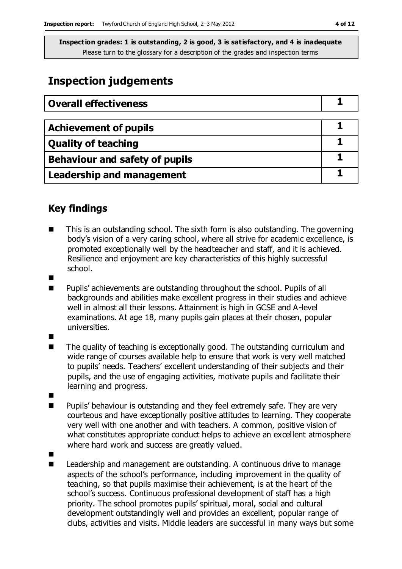# **Inspection judgements**

| <b>Overall effectiveness</b>          |  |
|---------------------------------------|--|
|                                       |  |
| <b>Achievement of pupils</b>          |  |
| <b>Quality of teaching</b>            |  |
| <b>Behaviour and safety of pupils</b> |  |
| <b>Leadership and management</b>      |  |

## **Key findings**

- This is an outstanding school. The sixth form is also outstanding. The governing body's vision of a very caring school, where all strive for academic excellence, is promoted exceptionally well by the headteacher and staff, and it is achieved. Resilience and enjoyment are key characteristics of this highly successful school.
- 
- Pupils' achievements are outstanding throughout the school. Pupils of all backgrounds and abilities make excellent progress in their studies and achieve well in almost all their lessons. Attainment is high in GCSE and A-level examinations. At age 18, many pupils gain places at their chosen, popular universities.
- п
- The quality of teaching is exceptionally good. The outstanding curriculum and wide range of courses available help to ensure that work is very well matched to pupils' needs. Teachers' excellent understanding of their subjects and their pupils, and the use of engaging activities, motivate pupils and facilitate their learning and progress.
- 
- **Pupils'** behaviour is outstanding and they feel extremely safe. They are very courteous and have exceptionally positive attitudes to learning. They cooperate very well with one another and with teachers. A common, positive vision of what constitutes appropriate conduct helps to achieve an excellent atmosphere where hard work and success are greatly valued.
- $\blacksquare$ 
	- Leadership and management are outstanding. A continuous drive to manage aspects of the school's performance, including improvement in the quality of teaching, so that pupils maximise their achievement, is at the heart of the school's success. Continuous professional development of staff has a high priority. The school promotes pupils' spiritual, moral, social and cultural development outstandingly well and provides an excellent, popular range of clubs, activities and visits. Middle leaders are successful in many ways but some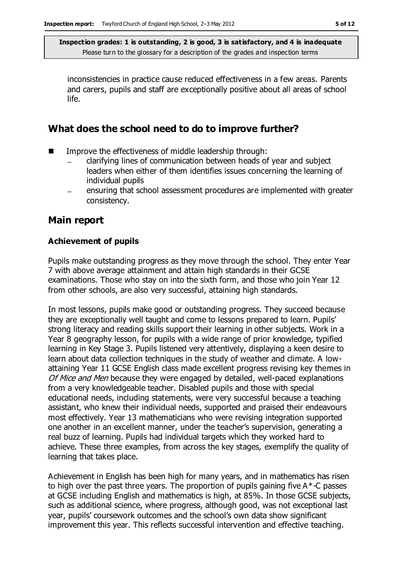inconsistencies in practice cause reduced effectiveness in a few areas. Parents and carers, pupils and staff are exceptionally positive about all areas of school life.

## **What does the school need to do to improve further?**

- Improve the effectiveness of middle leadership through:
	- clarifying lines of communication between heads of year and subject leaders when either of them identifies issues concerning the learning of individual pupils
	- ensuring that school assessment procedures are implemented with greater consistency.

## **Main report**

#### **Achievement of pupils**

Pupils make outstanding progress as they move through the school. They enter Year 7 with above average attainment and attain high standards in their GCSE examinations. Those who stay on into the sixth form, and those who join Year 12 from other schools, are also very successful, attaining high standards.

In most lessons, pupils make good or outstanding progress. They succeed because they are exceptionally well taught and come to lessons prepared to learn. Pupils' strong literacy and reading skills support their learning in other subjects. Work in a Year 8 geography lesson, for pupils with a wide range of prior knowledge, typified learning in Key Stage 3. Pupils listened very attentively, displaying a keen desire to learn about data collection techniques in the study of weather and climate. A lowattaining Year 11 GCSE English class made excellent progress revising key themes in Of Mice and Men because they were engaged by detailed, well-paced explanations from a very knowledgeable teacher. Disabled pupils and those with special educational needs, including statements, were very successful because a teaching assistant, who knew their individual needs, supported and praised their endeavours most effectively. Year 13 mathematicians who were revising integration supported one another in an excellent manner, under the teacher's supervision, generating a real buzz of learning. Pupils had individual targets which they worked hard to achieve. These three examples, from across the key stages, exemplify the quality of learning that takes place.

Achievement in English has been high for many years, and in mathematics has risen to high over the past three years. The proportion of pupils gaining five  $A^*$ -C passes at GCSE including English and mathematics is high, at 85%. In those GCSE subjects, such as additional science, where progress, although good, was not exceptional last year, pupils' coursework outcomes and the school's own data show significant improvement this year. This reflects successful intervention and effective teaching.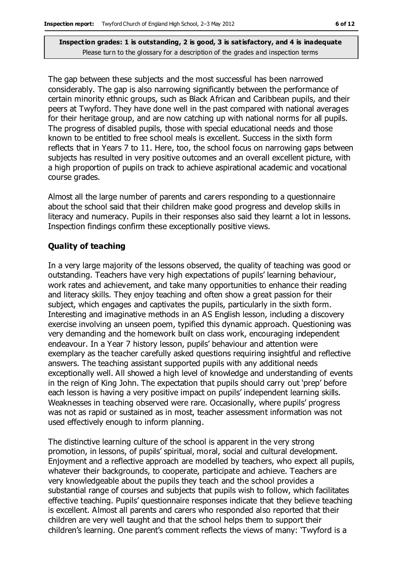The gap between these subjects and the most successful has been narrowed considerably. The gap is also narrowing significantly between the performance of certain minority ethnic groups, such as Black African and Caribbean pupils, and their peers at Twyford. They have done well in the past compared with national averages for their heritage group, and are now catching up with national norms for all pupils. The progress of disabled pupils, those with special educational needs and those known to be entitled to free school meals is excellent. Success in the sixth form reflects that in Years 7 to 11. Here, too, the school focus on narrowing gaps between subjects has resulted in very positive outcomes and an overall excellent picture, with a high proportion of pupils on track to achieve aspirational academic and vocational course grades.

Almost all the large number of parents and carers responding to a questionnaire about the school said that their children make good progress and develop skills in literacy and numeracy. Pupils in their responses also said they learnt a lot in lessons. Inspection findings confirm these exceptionally positive views.

#### **Quality of teaching**

In a very large majority of the lessons observed, the quality of teaching was good or outstanding. Teachers have very high expectations of pupils' learning behaviour, work rates and achievement, and take many opportunities to enhance their reading and literacy skills. They enjoy teaching and often show a great passion for their subject, which engages and captivates the pupils, particularly in the sixth form. Interesting and imaginative methods in an AS English lesson, including a discovery exercise involving an unseen poem, typified this dynamic approach. Questioning was very demanding and the homework built on class work, encouraging independent endeavour. In a Year 7 history lesson, pupils' behaviour and attention were exemplary as the teacher carefully asked questions requiring insightful and reflective answers. The teaching assistant supported pupils with any additional needs exceptionally well. All showed a high level of knowledge and understanding of events in the reign of King John. The expectation that pupils should carry out 'prep' before each lesson is having a very positive impact on pupils' independent learning skills. Weaknesses in teaching observed were rare. Occasionally, where pupils' progress was not as rapid or sustained as in most, teacher assessment information was not used effectively enough to inform planning.

The distinctive learning culture of the school is apparent in the very strong promotion, in lessons, of pupils' spiritual, moral, social and cultural development. Enjoyment and a reflective approach are modelled by teachers, who expect all pupils, whatever their backgrounds, to cooperate, participate and achieve. Teachers are very knowledgeable about the pupils they teach and the school provides a substantial range of courses and subjects that pupils wish to follow, which facilitates effective teaching. Pupils' questionnaire responses indicate that they believe teaching is excellent. Almost all parents and carers who responded also reported that their children are very well taught and that the school helps them to support their children's learning. One parent's comment reflects the views of many: 'Twyford is a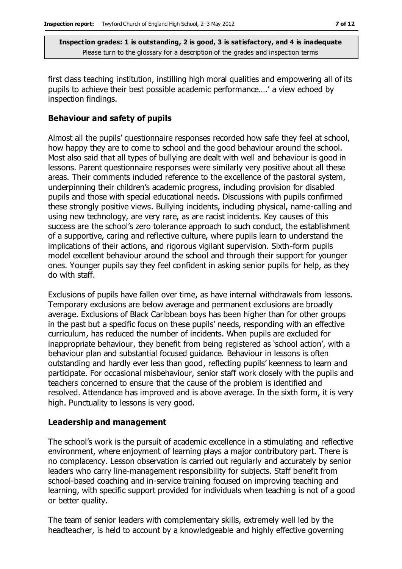first class teaching institution, instilling high moral qualities and empowering all of its pupils to achieve their best possible academic performance….' a view echoed by inspection findings.

#### **Behaviour and safety of pupils**

Almost all the pupils' questionnaire responses recorded how safe they feel at school, how happy they are to come to school and the good behaviour around the school. Most also said that all types of bullying are dealt with well and behaviour is good in lessons. Parent questionnaire responses were similarly very positive about all these areas. Their comments included reference to the excellence of the pastoral system, underpinning their children's academic progress, including provision for disabled pupils and those with special educational needs. Discussions with pupils confirmed these strongly positive views. Bullying incidents, including physical, name-calling and using new technology, are very rare, as are racist incidents. Key causes of this success are the school's zero tolerance approach to such conduct, the establishment of a supportive, caring and reflective culture, where pupils learn to understand the implications of their actions, and rigorous vigilant supervision. Sixth-form pupils model excellent behaviour around the school and through their support for younger ones. Younger pupils say they feel confident in asking senior pupils for help, as they do with staff.

Exclusions of pupils have fallen over time, as have internal withdrawals from lessons. Temporary exclusions are below average and permanent exclusions are broadly average. Exclusions of Black Caribbean boys has been higher than for other groups in the past but a specific focus on these pupils' needs, responding with an effective curriculum, has reduced the number of incidents. When pupils are excluded for inappropriate behaviour, they benefit from being registered as 'school action', with a behaviour plan and substantial focused guidance. Behaviour in lessons is often outstanding and hardly ever less than good, reflecting pupils' keenness to learn and participate. For occasional misbehaviour, senior staff work closely with the pupils and teachers concerned to ensure that the cause of the problem is identified and resolved. Attendance has improved and is above average. In the sixth form, it is very high. Punctuality to lessons is very good.

#### **Leadership and management**

The school's work is the pursuit of academic excellence in a stimulating and reflective environment, where enjoyment of learning plays a major contributory part. There is no complacency. Lesson observation is carried out regularly and accurately by senior leaders who carry line-management responsibility for subjects. Staff benefit from school-based coaching and in-service training focused on improving teaching and learning, with specific support provided for individuals when teaching is not of a good or better quality.

The team of senior leaders with complementary skills, extremely well led by the headteacher, is held to account by a knowledgeable and highly effective governing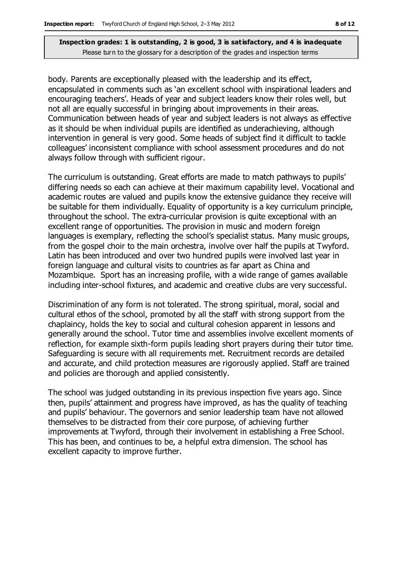body. Parents are exceptionally pleased with the leadership and its effect, encapsulated in comments such as 'an excellent school with inspirational leaders and encouraging teachers'. Heads of year and subject leaders know their roles well, but not all are equally successful in bringing about improvements in their areas. Communication between heads of year and subject leaders is not always as effective as it should be when individual pupils are identified as underachieving, although intervention in general is very good. Some heads of subject find it difficult to tackle colleagues' inconsistent compliance with school assessment procedures and do not always follow through with sufficient rigour.

The curriculum is outstanding. Great efforts are made to match pathways to pupils' differing needs so each can achieve at their maximum capability level. Vocational and academic routes are valued and pupils know the extensive guidance they receive will be suitable for them individually. Equality of opportunity is a key curriculum principle, throughout the school. The extra-curricular provision is quite exceptional with an excellent range of opportunities. The provision in music and modern foreign languages is exemplary, reflecting the school's specialist status. Many music groups, from the gospel choir to the main orchestra, involve over half the pupils at Twyford. Latin has been introduced and over two hundred pupils were involved last year in foreign language and cultural visits to countries as far apart as China and Mozambique. Sport has an increasing profile, with a wide range of games available including inter-school fixtures, and academic and creative clubs are very successful.

Discrimination of any form is not tolerated. The strong spiritual, moral, social and cultural ethos of the school, promoted by all the staff with strong support from the chaplaincy, holds the key to social and cultural cohesion apparent in lessons and generally around the school. Tutor time and assemblies involve excellent moments of reflection, for example sixth-form pupils leading short prayers during their tutor time. Safeguarding is secure with all requirements met. Recruitment records are detailed and accurate, and child protection measures are rigorously applied. Staff are trained and policies are thorough and applied consistently.

The school was judged outstanding in its previous inspection five years ago. Since then, pupils' attainment and progress have improved, as has the quality of teaching and pupils' behaviour. The governors and senior leadership team have not allowed themselves to be distracted from their core purpose, of achieving further improvements at Twyford, through their involvement in establishing a Free School. This has been, and continues to be, a helpful extra dimension. The school has excellent capacity to improve further.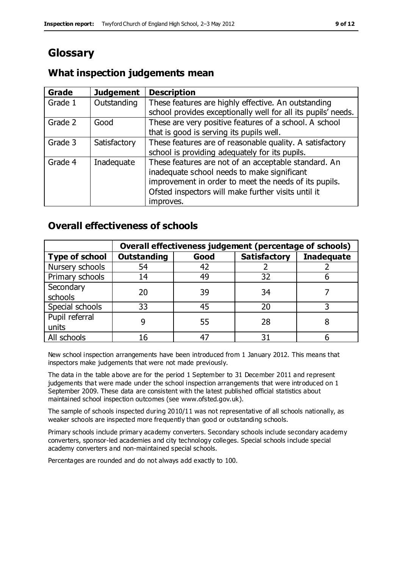# **Glossary**

#### **Grade Judgement Description** Grade  $1$  | Outstanding | These features are highly effective. An outstanding school provides exceptionally well for all its pupils' needs. Grade 2 Good These are very positive features of a school. A school that is good is serving its pupils well. Grade 3  $\parallel$  Satisfactory  $\parallel$  These features are of reasonable quality. A satisfactory school is providing adequately for its pupils. Grade 4  $\parallel$  Inadequate  $\parallel$  These features are not of an acceptable standard. An inadequate school needs to make significant improvement in order to meet the needs of its pupils. Ofsted inspectors will make further visits until it improves.

# **What inspection judgements mean**

## **Overall effectiveness of schools**

|                       | Overall effectiveness judgement (percentage of schools) |      |                     |                   |
|-----------------------|---------------------------------------------------------|------|---------------------|-------------------|
| <b>Type of school</b> | <b>Outstanding</b>                                      | Good | <b>Satisfactory</b> | <b>Inadequate</b> |
| Nursery schools       | 54                                                      | 42   |                     |                   |
| Primary schools       | 14                                                      | 49   | 32                  |                   |
| Secondary             | 20                                                      | 39   | 34                  |                   |
| schools               |                                                         |      |                     |                   |
| Special schools       | 33                                                      | 45   | 20                  |                   |
| Pupil referral        |                                                         | 55   | 28                  |                   |
| units                 |                                                         |      |                     |                   |
| All schools           |                                                         |      | م -                 |                   |

New school inspection arrangements have been introduced from 1 January 2012. This means that inspectors make judgements that were not made previously.

The data in the table above are for the period 1 September to 31 December 2011 and represent judgements that were made under the school inspection arrangements that were introduced on 1 September 2009. These data are consistent with the latest published official statistics about maintained school inspection outcomes (see www.ofsted.gov.uk).

The sample of schools inspected during 2010/11 was not representative of all schools nationally, as weaker schools are inspected more frequently than good or outstanding schools.

Primary schools include primary academy converters. Secondary schools include secondary academy converters, sponsor-led academies and city technology colleges. Special schools include special academy converters and non-maintained special schools.

Percentages are rounded and do not always add exactly to 100.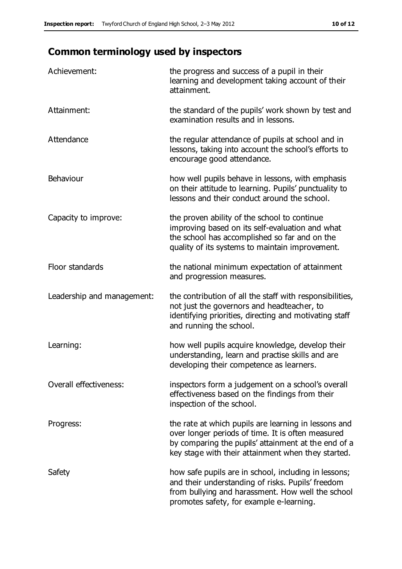# **Common terminology used by inspectors**

| Achievement:                  | the progress and success of a pupil in their<br>learning and development taking account of their<br>attainment.                                                                                                        |
|-------------------------------|------------------------------------------------------------------------------------------------------------------------------------------------------------------------------------------------------------------------|
| Attainment:                   | the standard of the pupils' work shown by test and<br>examination results and in lessons.                                                                                                                              |
| Attendance                    | the regular attendance of pupils at school and in<br>lessons, taking into account the school's efforts to<br>encourage good attendance.                                                                                |
| Behaviour                     | how well pupils behave in lessons, with emphasis<br>on their attitude to learning. Pupils' punctuality to<br>lessons and their conduct around the school.                                                              |
| Capacity to improve:          | the proven ability of the school to continue<br>improving based on its self-evaluation and what<br>the school has accomplished so far and on the<br>quality of its systems to maintain improvement.                    |
| Floor standards               | the national minimum expectation of attainment<br>and progression measures.                                                                                                                                            |
| Leadership and management:    | the contribution of all the staff with responsibilities,<br>not just the governors and headteacher, to<br>identifying priorities, directing and motivating staff<br>and running the school.                            |
| Learning:                     | how well pupils acquire knowledge, develop their<br>understanding, learn and practise skills and are<br>developing their competence as learners.                                                                       |
| <b>Overall effectiveness:</b> | inspectors form a judgement on a school's overall<br>effectiveness based on the findings from their<br>inspection of the school.                                                                                       |
| Progress:                     | the rate at which pupils are learning in lessons and<br>over longer periods of time. It is often measured<br>by comparing the pupils' attainment at the end of a<br>key stage with their attainment when they started. |
| Safety                        | how safe pupils are in school, including in lessons;<br>and their understanding of risks. Pupils' freedom<br>from bullying and harassment. How well the school<br>promotes safety, for example e-learning.             |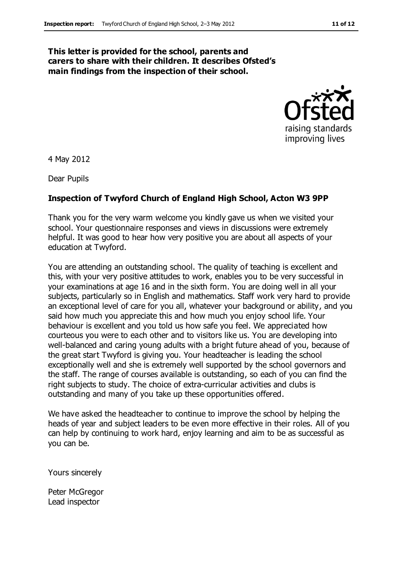#### **This letter is provided for the school, parents and carers to share with their children. It describes Ofsted's main findings from the inspection of their school.**



4 May 2012

Dear Pupils

#### **Inspection of Twyford Church of England High School, Acton W3 9PP**

Thank you for the very warm welcome you kindly gave us when we visited your school. Your questionnaire responses and views in discussions were extremely helpful. It was good to hear how very positive you are about all aspects of your education at Twyford.

You are attending an outstanding school. The quality of teaching is excellent and this, with your very positive attitudes to work, enables you to be very successful in your examinations at age 16 and in the sixth form. You are doing well in all your subjects, particularly so in English and mathematics. Staff work very hard to provide an exceptional level of care for you all, whatever your background or ability, and you said how much you appreciate this and how much you enjoy school life. Your behaviour is excellent and you told us how safe you feel. We appreciated how courteous you were to each other and to visitors like us. You are developing into well-balanced and caring young adults with a bright future ahead of you, because of the great start Twyford is giving you. Your headteacher is leading the school exceptionally well and she is extremely well supported by the school governors and the staff. The range of courses available is outstanding, so each of you can find the right subjects to study. The choice of extra-curricular activities and clubs is outstanding and many of you take up these opportunities offered.

We have asked the headteacher to continue to improve the school by helping the heads of year and subject leaders to be even more effective in their roles. All of you can help by continuing to work hard, enjoy learning and aim to be as successful as you can be.

Yours sincerely

Peter McGregor Lead inspector